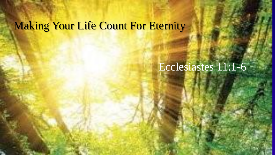### **Making Your Life Count For Eternity**

# Ecclesiastes 11:1-6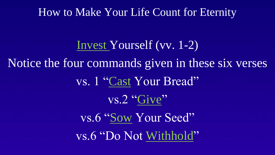#### How to Make Your Life Count for Eternity

Invest Yourself (vv. 1-2) Notice the four commands given in these six verses vs. 1 "Cast Your Bread" vs.2 "Give" vs.6 "Sow Your Seed" vs.6 "Do Not Withhold"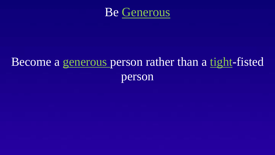

# Become a generous person rather than a tight-fisted person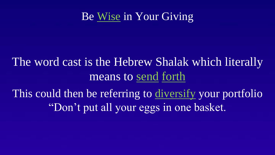## The word cast is the Hebrew Shalak which literally means to send forth

This could then be referring to diversify your portfolio "Don't put all your eggs in one basket.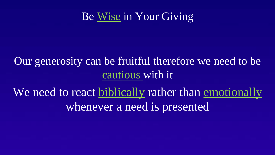### Our generosity can be fruitful therefore we need to be cautious with it

We need to react biblically rather than emotionally whenever a need is presented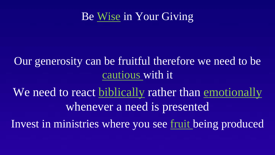### Our generosity can be fruitful therefore we need to be cautious with it

We need to react biblically rather than emotionally whenever a need is presented

Invest in ministries where you see fruit being produced